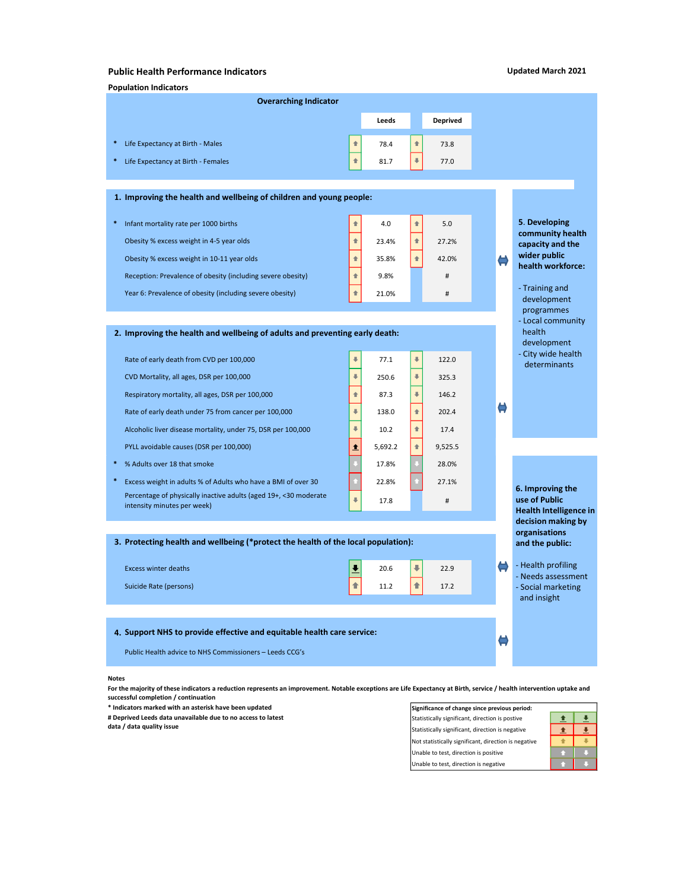## Public Health Performance Indicators

## Updated March 2021

|                                                                             |                                                                                                 |                      |         |                          |          |  |               | <b>Updated March 2021</b>                |
|-----------------------------------------------------------------------------|-------------------------------------------------------------------------------------------------|----------------------|---------|--------------------------|----------|--|---------------|------------------------------------------|
|                                                                             | <b>Public Health Performance Indicators</b><br><b>Population Indicators</b>                     |                      |         |                          |          |  |               |                                          |
|                                                                             | <b>Overarching Indicator</b>                                                                    |                      |         |                          |          |  |               |                                          |
|                                                                             |                                                                                                 |                      | Leeds   |                          | Deprived |  |               |                                          |
|                                                                             | * Life Expectancy at Birth - Males                                                              | 合                    | 78.4    | $\blacktriangleleft$     | 73.8     |  |               |                                          |
|                                                                             | * Life Expectancy at Birth - Females                                                            | 全                    | 81.7    |                          | 77.0     |  |               |                                          |
|                                                                             |                                                                                                 |                      |         |                          |          |  |               |                                          |
|                                                                             | 1. Improving the health and wellbeing of children and young people:                             |                      |         |                          |          |  |               |                                          |
|                                                                             | * Infant mortality rate per 1000 births                                                         | 合                    | 4.0     | $\triangleq$             | 5.0      |  |               | 5. Developing                            |
|                                                                             | Obesity % excess weight in 4-5 year olds                                                        | 全                    | 23.4%   | $\triangleq$             | 27.2%    |  |               | community health<br>capacity and the     |
|                                                                             | Obesity % excess weight in 10-11 year olds                                                      | $\triangleq$         | 35.8%   |                          | 42.0%    |  | $\bigoplus$   | wider public<br>health workforce:        |
|                                                                             | Reception: Prevalence of obesity (including severe obesity)                                     | 全                    | 9.8%    |                          | #        |  |               | - Training and<br>development            |
|                                                                             | Year 6: Prevalence of obesity (including severe obesity)                                        | $\triangleq$         | 21.0%   |                          | #        |  |               |                                          |
|                                                                             |                                                                                                 |                      |         |                          |          |  |               | programmes<br>- Local community          |
| 2. Improving the health and wellbeing of adults and preventing early death: |                                                                                                 |                      |         |                          |          |  |               | health<br>development                    |
|                                                                             | Rate of early death from CVD per 100,000                                                        |                      | 77.1    | $\ddot{\Phi}$            | 122.0    |  |               | - City wide health                       |
|                                                                             | CVD Mortality, all ages, DSR per 100,000                                                        | $\Downarrow$         | 250.6   | $\ddot{\Phi}$            | 325.3    |  |               | determinants                             |
|                                                                             | Respiratory mortality, all ages, DSR per 100,000                                                | $\triangleq$         | 87.3    | $\Downarrow$             | 146.2    |  |               |                                          |
|                                                                             | Rate of early death under 75 from cancer per 100,000                                            | $\Downarrow$         | 138.0   | $\triangleq$             | 202.4    |  | $\bullet$     |                                          |
|                                                                             | Alcoholic liver disease mortality, under 75, DSR per 100,000                                    | $\Downarrow$         | 10.2    | $\triangleq$             | 17.4     |  |               |                                          |
|                                                                             | PYLL avoidable causes (DSR per 100,000)                                                         | 土                    | 5,692.2 | $\triangleq$             | 9,525.5  |  |               |                                          |
|                                                                             | % Adults over 18 that smoke                                                                     |                      | 17.8%   |                          | 28.0%    |  |               |                                          |
|                                                                             | Excess weight in adults % of Adults who have a BMI of over 30                                   |                      | 22.8%   |                          | 27.1%    |  |               | 6. Improving the                         |
|                                                                             | Percentage of physically inactive adults (aged 19+, <30 moderate<br>intensity minutes per week) | $\ddot{\Phi}$        | 17.8    |                          | #        |  |               | use of Public<br>Health Intelligence in  |
|                                                                             |                                                                                                 |                      |         |                          |          |  |               | decision making by                       |
|                                                                             | 3. Protecting health and wellbeing (*protect the health of the local population):               |                      |         |                          |          |  |               | organisations<br>and the public:         |
|                                                                             | <b>Excess winter deaths</b>                                                                     | $\ddot{\phantom{0}}$ | 20.6    | $\overline{\phantom{a}}$ | 22.9     |  | $\Rightarrow$ | - Health profiling                       |
|                                                                             | Suicide Rate (persons)                                                                          | 合                    | 11.2    | 合                        | 17.2     |  |               | - Needs assessment<br>- Social marketing |
|                                                                             |                                                                                                 |                      |         |                          |          |  |               | and insight                              |
|                                                                             |                                                                                                 |                      |         |                          |          |  |               |                                          |
|                                                                             | 4. Support NHS to provide effective and equitable health care service:                          |                      |         |                          |          |  | $\Rightarrow$ |                                          |
|                                                                             | Public Health advice to NHS Commissioners - Leeds CCG's                                         |                      |         |                          |          |  |               |                                          |

## Notes

For the majority of these indicators a reduction represents an improvement. Notable exceptions are Life Expectancy at Birth, service / health intervention uptake and successful completion / continuation

 $*$  Indicators marked with an asterisk have been updated

# Deprived Leeds data unavailable due to no access to latest data / data quality issue

| Significance of change since previous period:        |  |
|------------------------------------------------------|--|
| Statistically significant, direction is postive      |  |
| Statistically significant, direction is negative     |  |
| Not statistically significant, direction is negative |  |
| Unable to test, direction is positive                |  |
| Unable to test, direction is negative                |  |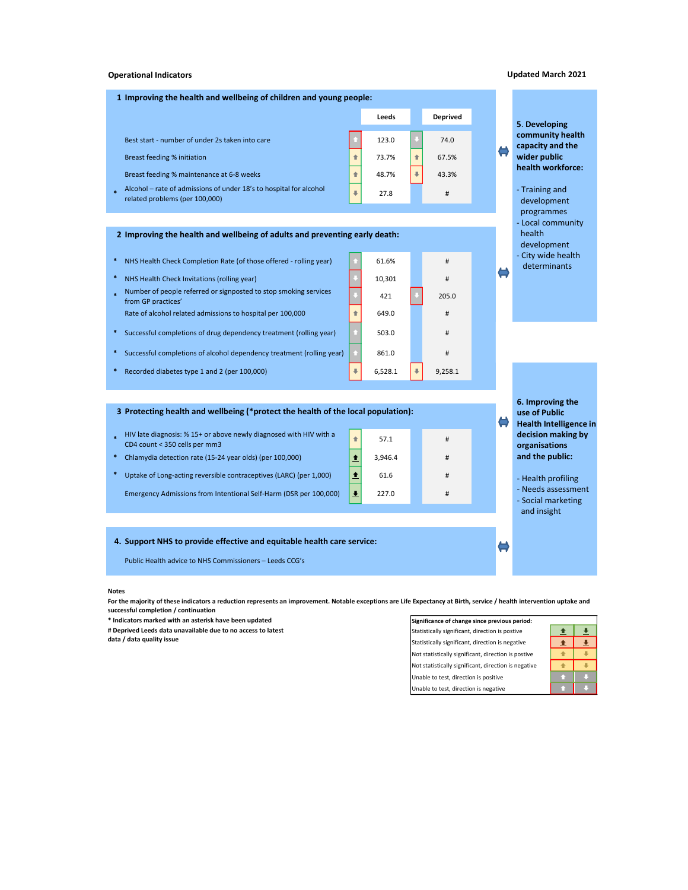#### Operational Indicators

| 1 Improving the health and wellbeing of children and young people:                                              |                          |       |                 |       |  |  |  |  |  |  |
|-----------------------------------------------------------------------------------------------------------------|--------------------------|-------|-----------------|-------|--|--|--|--|--|--|
|                                                                                                                 | Leeds                    |       | <b>Deprived</b> |       |  |  |  |  |  |  |
| Best start - number of under 2s taken into care                                                                 |                          | 123.0 |                 | 74.0  |  |  |  |  |  |  |
| Breast feeding % initiation                                                                                     |                          | 73.7% |                 | 67.5% |  |  |  |  |  |  |
| Breast feeding % maintenance at 6-8 weeks                                                                       | 合                        | 48.7% |                 | 43.3% |  |  |  |  |  |  |
| Alcohol - rate of admissions of under 18's to hospital for alcohol<br>$\star$<br>related problems (per 100,000) | $\overline{\phantom{a}}$ | 27.8  |                 | #     |  |  |  |  |  |  |

## 2 Improving the health and wellbeing of adults and preventing early death:

- \* NHS Health Check Completion Rate (of those offered rolling year) 61.6% #
- \* NHS Health Check Invitations (rolling year) 10,301 #
- \* Number of people referred or signposted to stop smoking services from GP practices' Rate of alcohol related admissions to hospital per 100,000  $\parallel$   $\parallel$  649.0 #
- \* Successful completions of drug dependency treatment (rolling year) 503.0 #
- \* Successful completions of alcohol dependency treatment (rolling year)  $\left| \begin{array}{c} \bullet \\ \bullet \end{array} \right|$  861.0
- \* Recorded diabetes type 1 and 2 (per 100,000) 6,528.1 9,258.1

#### 3 Protecting health and wellbeing (\*protect the health of the local population):

- \* HIV late diagnosis: % 15+ or above newly diagnosed with HIV with a CD4 count < 350 cells per mm3
- \* Chlamydia detection rate (15-24 year olds) (per 100,000)  $\left|\frac{\textbf{a}}{\textbf{a}}\right|$  3,946.4 #
- \* Uptake of Long-acting reversible contraceptives (LARC) (per 1,000)  $\left|\right.$   $\left.\right|$  61.6  $\left|$   $\right|$  61.6

Emergency Admissions from Intentional Self-Harm (DSR per 100,000)  $\frac{1}{2}$  227.0 #

#### 4. Support NHS to provide effective and equitable health care service:

Public Health advice to NHS Commissioners – Leeds CCG's

#### Notes

For the majority of these indicators a reduction represents an improvement. Notable exceptions are Life Expectancy at Birth, service / health intervention uptake and successful completion / continuation

421  $\begin{vmatrix} 1 \\ 1 \end{vmatrix}$  205.0

 $\uparrow$  57.1 #

\* Indicators marked with an asterisk have been updated Significance of change since previous period:

# Deprived Leeds data unavailable due to no access to latest

data / data quality issue

# Statistically significant, direction is postive  $\frac{\pm}{\pm}$ Statistically significant, direction is negative  $\left|\left| \right|\right| \left| \right|$ Not statistically significant, direction is postive  $\begin{array}{|c|c|}\n\hline\n\end{array}$ Not statistically significant, direction is negative  $\begin{array}{|c|c|}\n\hline\n\end{array}$ Unable to test, direction is positive Unable to test, direction is negative

 $\Leftrightarrow$ 

### Updated March 2021

5. Developing community health capacity and the wider public health workforce: dated March 2021<br>5. Developing<br>community health<br>capacity and the<br>wider public<br>health workforce:<br>- Training and<br>development<br>programmes<br>- Local community<br>health<br>development<br>- City wide health<br>development<br>- City wide health dated March 2021<br>
5. Developing<br>
community health<br>
capacity and the<br>
wider public<br>
health workforce:<br>
- Training and<br>
development<br>
programmes<br>
Local community<br>
health<br>
development<br>
- City wide health<br>
determinants<br>
determi

development programmes - Local community

health development

determinants

 $\Leftrightarrow$ 

 $\Rightarrow$ 

6. Improving the use of Public Health Intelligence in decision making by organisations and the public: development<br>
programmes<br>
Local community<br>
health<br>
development<br>
City wide health<br>
determinants<br>
determinants<br>
es of Public<br>
Health Intelligence in<br>
decision making by<br>
organisations<br>
and the public:<br>
- Health profiling<br>
- N programmes<br>
- Local community<br>
health<br>
development<br>
- City wide health<br>
determinants<br>
determinants<br>
Health Intelligence in<br>
Health Intelligence in<br>
decision making by<br>
organisations<br>
and the public:<br>
- Health profiling<br>
- - Local community<br>
health<br>
development<br>
development<br>
determinants<br>
determinants<br>
6. Improving the<br>
use of Public<br>
Health Intelligence in<br>
decaision making by<br>
organisations<br>
and the public:<br>
- Health profiling<br>
- Needs ass

- 
- and insight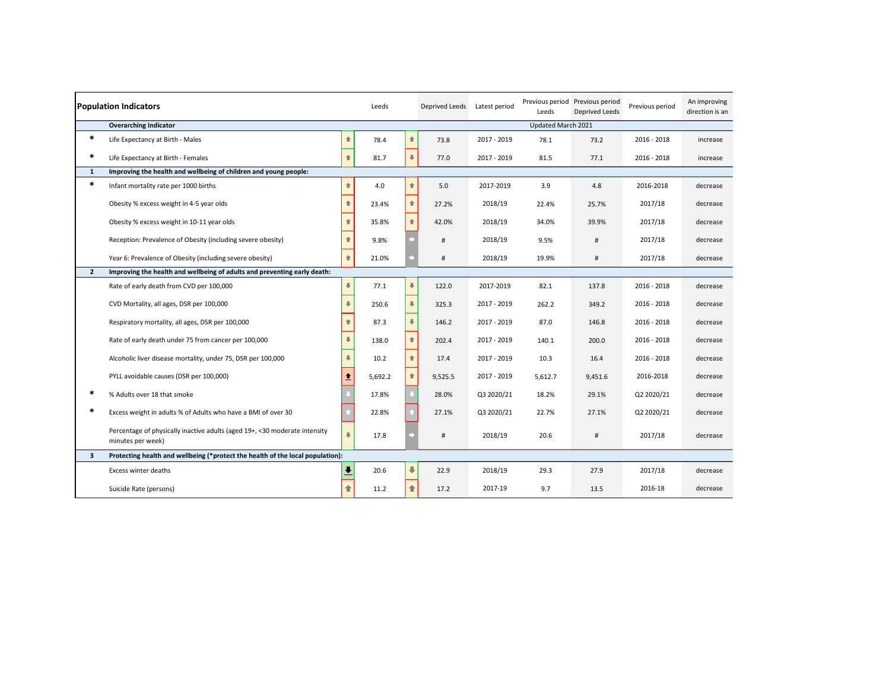| <b>Population Indicators</b><br>Leeds |                                                                                                 |                          |         |                          | <b>Deprived Leeds</b> | Latest period | Leeds              | Previous period Previous period<br>Deprived Leeds | Previous period | An improving<br>direction is an |
|---------------------------------------|-------------------------------------------------------------------------------------------------|--------------------------|---------|--------------------------|-----------------------|---------------|--------------------|---------------------------------------------------|-----------------|---------------------------------|
|                                       | <b>Overarching Indicator</b>                                                                    |                          |         |                          |                       |               | Updated March 2021 |                                                   |                 |                                 |
| $\ast$                                | Life Expectancy at Birth - Males                                                                | $\triangle$              | 78.4    | 合                        | 73.8                  | 2017 - 2019   | 78.1               | 73.2                                              | 2016 - 2018     | increase                        |
| *                                     | Life Expectancy at Birth - Females                                                              | 合                        | 81.7    | $\ddot{\phantom{a}}$     | 77.0                  | 2017 - 2019   | 81.5               | 77.1                                              | 2016 - 2018     | increase                        |
| $\mathbf{1}$                          | Improving the health and wellbeing of children and young people:                                |                          |         |                          |                       |               |                    |                                                   |                 |                                 |
| $\ast$                                | Infant mortality rate per 1000 births                                                           | $\ddot{\phantom{0}}$     | 4.0     | 合                        | 5.0                   | 2017-2019     | 3.9                | 4.8                                               | 2016-2018       | decrease                        |
|                                       | Obesity % excess weight in 4-5 year olds                                                        | 合                        | 23.4%   | 合                        | 27.2%                 | 2018/19       | 22.4%              | 25.7%                                             | 2017/18         | decrease                        |
|                                       | Obesity % excess weight in 10-11 year olds                                                      |                          | 35.8%   | 合                        | 42.0%                 | 2018/19       | 34.0%              | 39.9%                                             | 2017/18         | decrease                        |
|                                       | Reception: Prevalence of Obesity (including severe obesity)                                     |                          | 9.8%    |                          | #                     | 2018/19       | 9.5%               | #                                                 | 2017/18         | decrease                        |
|                                       | Year 6: Prevalence of Obesity (including severe obesity)                                        | $\triangle$              | 21.0%   |                          | #                     | 2018/19       | 19.9%              | #                                                 | 2017/18         | decrease                        |
| $\mathbf{2}$                          | Improving the health and wellbeing of adults and preventing early death:                        |                          |         |                          |                       |               |                    |                                                   |                 |                                 |
|                                       | Rate of early death from CVD per 100,000                                                        | $\overline{\phantom{a}}$ | 77.1    | $\overline{\phantom{a}}$ | 122.0                 | 2017-2019     | 82.1               | 137.8                                             | 2016 - 2018     | decrease                        |
|                                       | CVD Mortality, all ages, DSR per 100,000                                                        | $\overline{\phantom{a}}$ | 250.6   | $\ddot{\phantom{1}}$     | 325.3                 | 2017 - 2019   | 262.2              | 349.2                                             | 2016 - 2018     | decrease                        |
|                                       | Respiratory mortality, all ages, DSR per 100,000                                                | 合                        | 87.3    | $\ddot{\phantom{1}}$     | 146.2                 | 2017 - 2019   | 87.0               | 146.8                                             | 2016 - 2018     | decrease                        |
|                                       | Rate of early death under 75 from cancer per 100,000                                            | $\overline{\phantom{a}}$ | 138.0   | 全                        | 202.4                 | 2017 - 2019   | 140.1              | 200.0                                             | 2016 - 2018     | decrease                        |
|                                       | Alcoholic liver disease mortality, under 75, DSR per 100,000                                    | 工                        | 10.2    | $\triangleq$             | 17.4                  | 2017 - 2019   | 10.3               | 16.4                                              | 2016 - 2018     | decrease                        |
|                                       | PYLL avoidable causes (DSR per 100,000)                                                         | ↟                        | 5,692.2 | $\ddot{\phantom{a}}$     | 9,525.5               | 2017 - 2019   | 5,612.7            | 9,451.6                                           | 2016-2018       | decrease                        |
| *                                     | % Adults over 18 that smoke                                                                     |                          | 17.8%   |                          | 28.0%                 | Q3 2020/21    | 18.2%              | 29.1%                                             | Q2 2020/21      | decrease                        |
| *                                     | Excess weight in adults % of Adults who have a BMI of over 30                                   |                          | 22.8%   |                          | 27.1%                 | Q3 2020/21    | 22.7%              | 27.1%                                             | Q2 2020/21      | decrease                        |
|                                       | Percentage of physically inactive adults (aged 19+, <30 moderate intensity<br>minutes per week) | $\blacksquare$           | 17.8    |                          | #                     | 2018/19       | 20.6               | #                                                 | 2017/18         | decrease                        |
| 3                                     | Protecting health and wellbeing (*protect the health of the local population):                  |                          |         |                          |                       |               |                    |                                                   |                 |                                 |
|                                       | Excess winter deaths                                                                            |                          | 20.6    | $\overline{\phantom{a}}$ | 22.9                  | 2018/19       | 29.3               | 27.9                                              | 2017/18         | decrease                        |
|                                       | Suicide Rate (persons)                                                                          |                          | 11.2    | €                        | 17.2                  | 2017-19       | 9.7                | 13.5                                              | 2016-18         | decrease                        |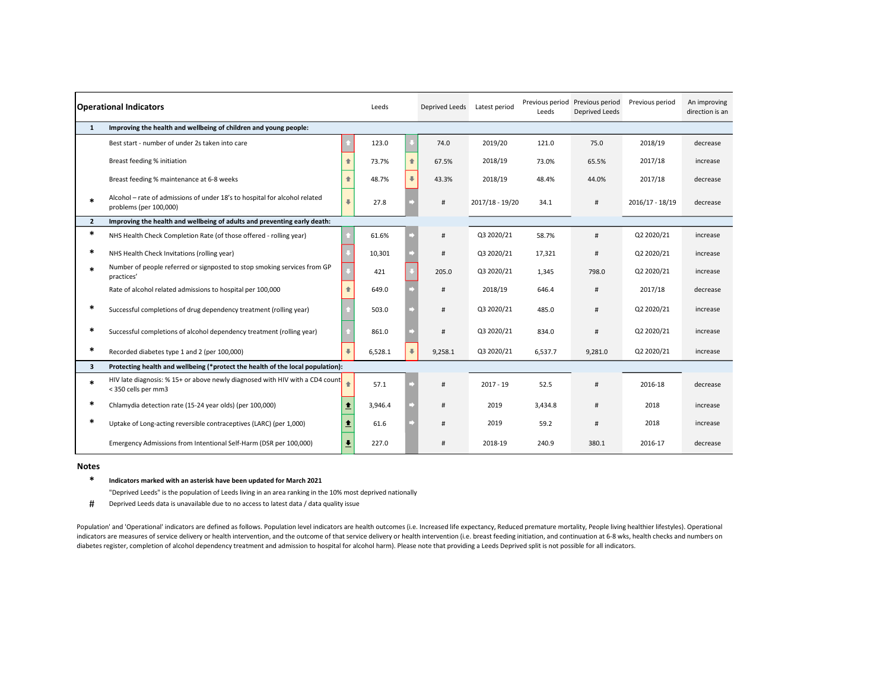| <b>Operational Indicators</b> |                                                                                                      |                      | Leeds   |   | Deprived Leeds | Latest period   | Previous period<br>Leeds | Previous period<br>Deprived Leeds | Previous period | An improving<br>direction is an |
|-------------------------------|------------------------------------------------------------------------------------------------------|----------------------|---------|---|----------------|-----------------|--------------------------|-----------------------------------|-----------------|---------------------------------|
| $\mathbf{1}$                  | Improving the health and wellbeing of children and young people:                                     |                      |         |   |                |                 |                          |                                   |                 |                                 |
|                               | Best start - number of under 2s taken into care                                                      |                      | 123.0   |   | 74.0           | 2019/20         | 121.0                    | 75.0                              | 2018/19         | decrease                        |
|                               | Breast feeding % initiation                                                                          | 合                    | 73.7%   | 全 | 67.5%          | 2018/19         | 73.0%                    | 65.5%                             | 2017/18         | increase                        |
|                               | Breast feeding % maintenance at 6-8 weeks                                                            | 合                    | 48.7%   |   | 43.3%          | 2018/19         | 48.4%                    | 44.0%                             | 2017/18         | decrease                        |
|                               | Alcohol - rate of admissions of under 18's to hospital for alcohol related<br>problems (per 100,000) | 工                    | 27.8    |   | #              | 2017/18 - 19/20 | 34.1                     | #                                 | 2016/17 - 18/19 | decrease                        |
| $\overline{2}$                | Improving the health and wellbeing of adults and preventing early death:                             |                      |         |   |                |                 |                          |                                   |                 |                                 |
| *                             | NHS Health Check Completion Rate (of those offered - rolling year)                                   |                      | 61.6%   |   | #              | Q3 2020/21      | 58.7%                    | #                                 | Q2 2020/21      | increase                        |
| $\ast$                        | NHS Health Check Invitations (rolling year)                                                          |                      | 10,301  |   | #              | Q3 2020/21      | 17.321                   | #                                 | Q2 2020/21      | increase                        |
|                               | Number of people referred or signposted to stop smoking services from GP<br>practices'               |                      | 421     |   | 205.0          | Q3 2020/21      | 1,345                    | 798.0                             | Q2 2020/21      | increase                        |
|                               | Rate of alcohol related admissions to hospital per 100,000                                           |                      | 649.0   |   | #              | 2018/19         | 646.4                    | #                                 | 2017/18         | decrease                        |
|                               | Successful completions of drug dependency treatment (rolling year)                                   |                      | 503.0   |   | #              | Q3 2020/21      | 485.0                    | #                                 | Q2 2020/21      | increase                        |
|                               | Successful completions of alcohol dependency treatment (rolling year)                                |                      | 861.0   |   | #              | Q3 2020/21      | 834.0                    | #                                 | Q2 2020/21      | increase                        |
| *                             | Recorded diabetes type 1 and 2 (per 100,000)                                                         | 工                    | 6,528.1 |   | 9,258.1        | Q3 2020/21      | 6,537.7                  | 9,281.0                           | Q2 2020/21      | increase                        |
| 3                             | Protecting health and wellbeing (*protect the health of the local population):                       |                      |         |   |                |                 |                          |                                   |                 |                                 |
| $\ast$                        | HIV late diagnosis: % 15+ or above newly diagnosed with HIV with a CD4 count<br>< 350 cells per mm3  |                      | 57.1    |   | #              | $2017 - 19$     | 52.5                     | #                                 | 2016-18         | decrease                        |
| *                             | Chlamydia detection rate (15-24 year olds) (per 100,000)                                             | ↟                    | 3,946.4 |   | #              | 2019            | 3,434.8                  | #                                 | 2018            | increase                        |
|                               | Uptake of Long-acting reversible contraceptives (LARC) (per 1,000)                                   | ↟                    | 61.6    |   | #              | 2019            | 59.2                     | #                                 | 2018            | increase                        |
|                               | Emergency Admissions from Intentional Self-Harm (DSR per 100,000)                                    | $\ddot{\phantom{1}}$ | 227.0   |   |                | 2018-19         | 240.9                    | 380.1                             | 2016-17         | decrease                        |

#### Notes

\* Indicators marked with an asterisk have been updated for March 2021

"Deprived Leeds" is the population of Leeds living in an area ranking in the 10% most deprived nationally

# Deprived Leeds data is unavailable due to no access to latest data / data quality issue

Population' and 'Operational' indicators are defined as follows. Population level indicators are health outcomes (i.e. Increased life expectancy, Reduced premature mortality, People living healthier lifestyles). Operationa indicators are measures of service delivery or health intervention, and the outcome of that service delivery or health intervention (i.e. breast feeding initiation, and continuation at 6-8 wks, health checks and numbers on diabetes register, completion of alcohol dependency treatment and admission to hospital for alcohol harm). Please note that providing a Leeds Deprived split is not possible for all indicators.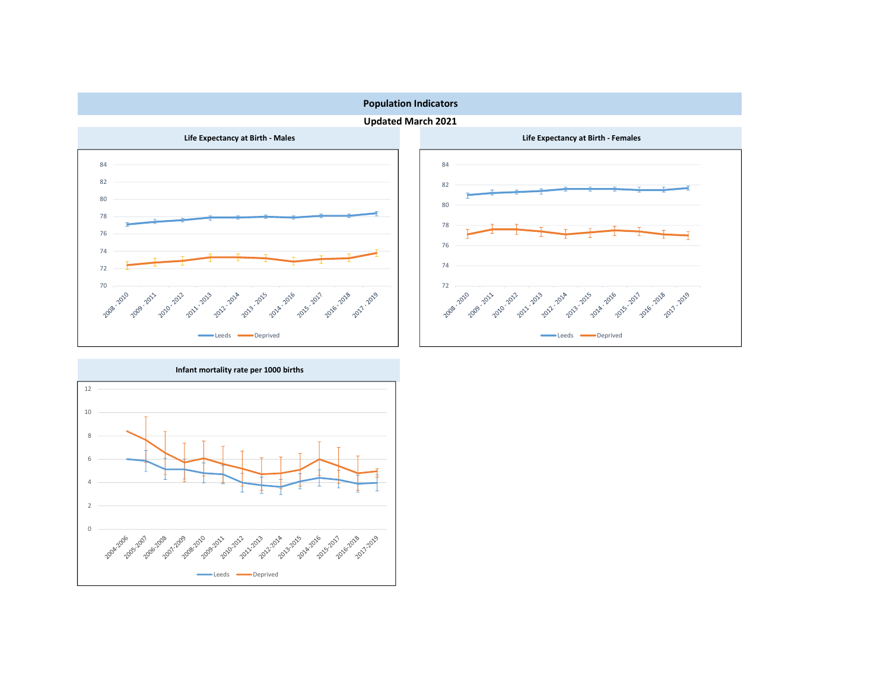

Updated March 2021





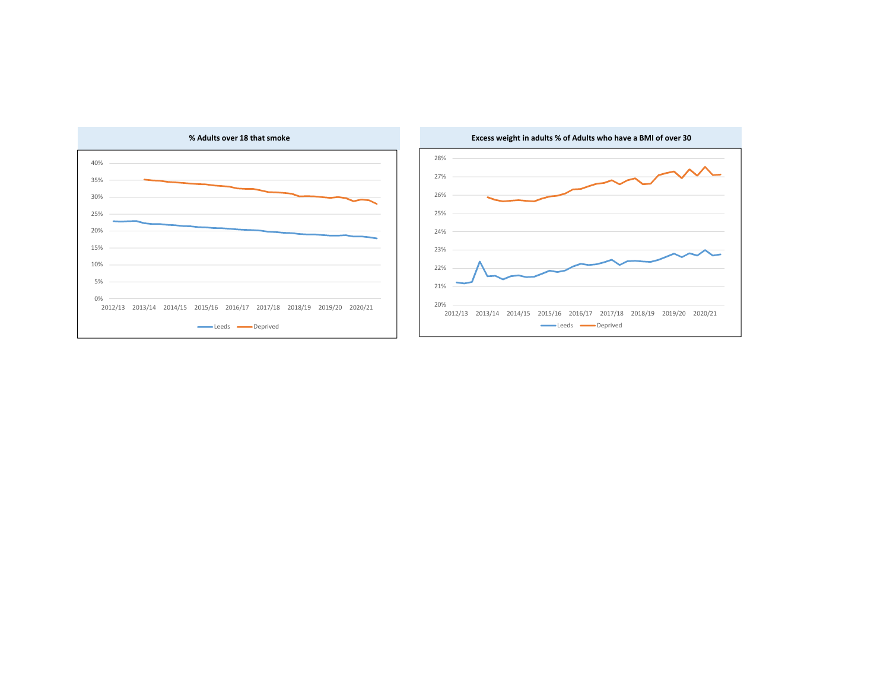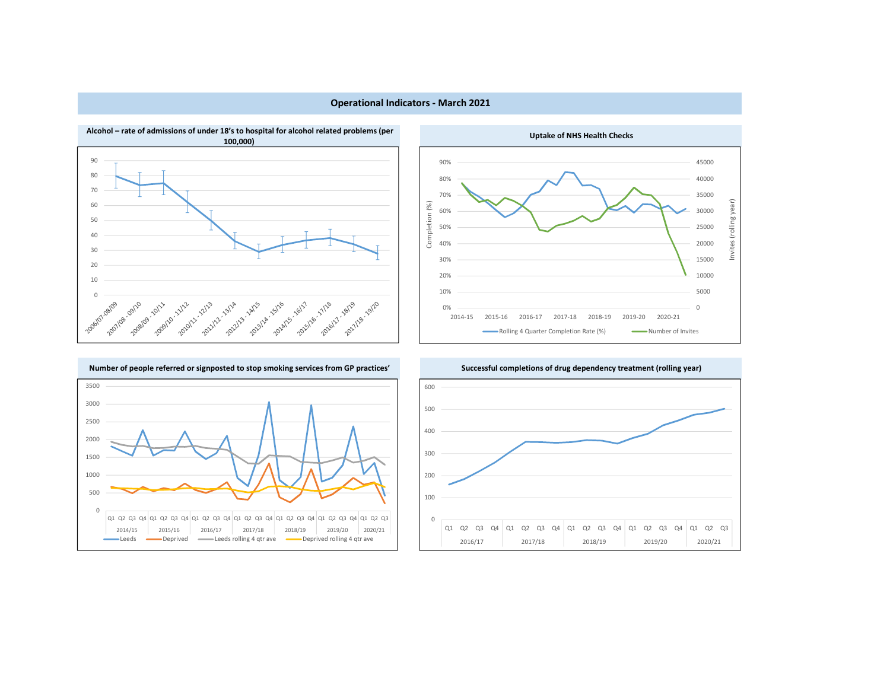

# Operational Indicators - March 2021

Uptake of NHS Health Checks





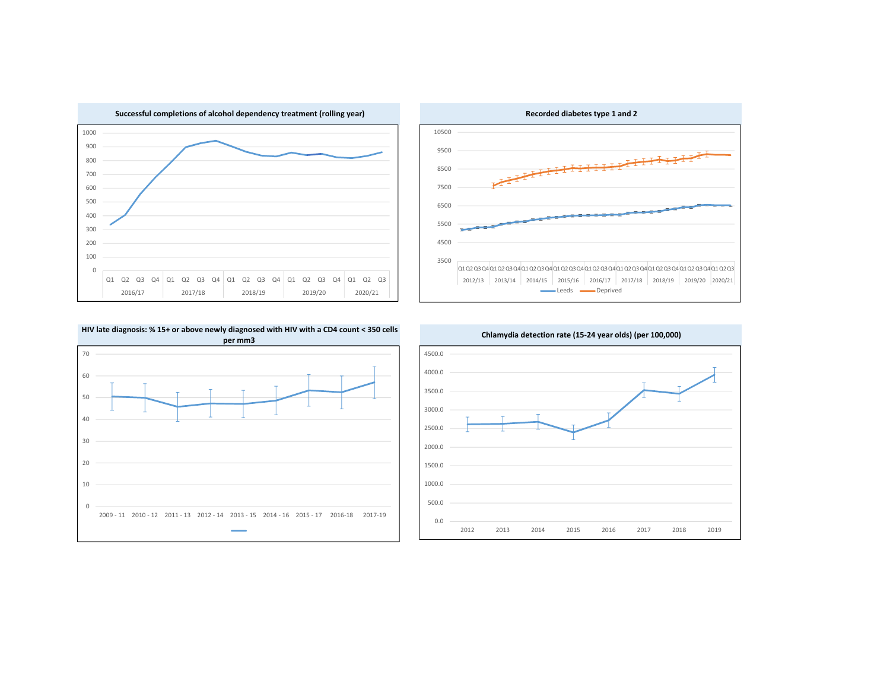